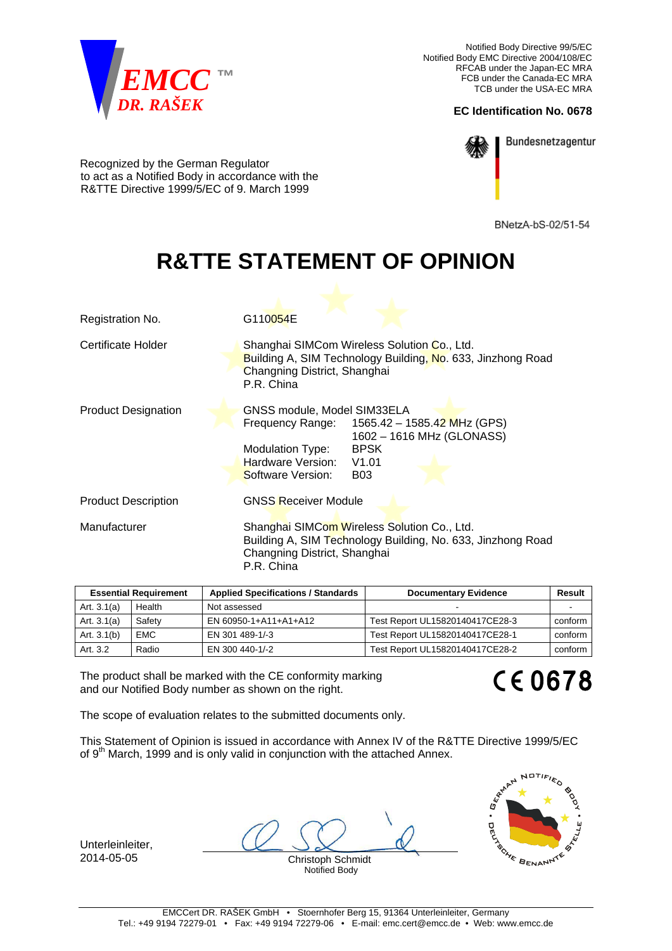

Notified Body Directive 99/5/EC Notified Body EMC Directive 2004/108/EC RFCAB under the Japan-EC MRA FCB under the Canada-EC MRA TCB under the USA-EC MRA

## **EC Identification No. 0678**



Bundesnetzagentur

Recognized by the German Regulator to act as a Notified Body in accordance with the R&TTE Directive 1999/5/EC of 9. March 1999

BNetzA-bS-02/51-54

## **R&TTE STATEMENT OF OPINION**

| Feedwild Bender            | Appelle di Connectivatione il Cternate delle<br>Beaumantan Fulda                                                                                                                                               |  |
|----------------------------|----------------------------------------------------------------------------------------------------------------------------------------------------------------------------------------------------------------|--|
| Manufacturer               | Shanghai SIMCom Wireless Solution Co., Ltd.<br>Building A, SIM Technology Building, No. 633, Jinzhong Road<br>Changning District, Shanghai<br>P.R. China                                                       |  |
| <b>Product Description</b> | <b>GNSS Receiver Module</b>                                                                                                                                                                                    |  |
| <b>Product Designation</b> | GNSS module, Model SIM33ELA<br>Frequency Range: $1565.42 - 1585.42$ MHz (GPS)<br>1602 - 1616 MHz (GLONASS)<br><b>BPSK</b><br>Modulation Type:<br>Hardware Version:<br>V1.01<br>Software Version:<br><b>B03</b> |  |
| Certificate Holder         | Shanghai SIMCom Wireless Solution Co., Ltd.<br>Building A, SIM Technology Building, No. 633, Jinzhong Road<br>Changning District, Shanghai<br>P.R. China                                                       |  |
| Registration No.           | G110054E                                                                                                                                                                                                       |  |

| <b>Essential Requirement</b> |            | <b>Applied Specifications / Standards</b> | <b>Documentary Evidence</b>     | Result  |
|------------------------------|------------|-------------------------------------------|---------------------------------|---------|
| Art. $3.1(a)$                | Health     | Not assessed                              |                                 |         |
| Art. $3.1(a)$                | Safety     | EN 60950-1+A11+A1+A12                     | Test Report UL15820140417CE28-3 | conform |
| Art. $3.1(b)$                | <b>EMC</b> | EN 301 489-1/-3                           | Test Report UL15820140417CE28-1 | conform |
| Art. 3.2                     | Radio      | EN 300 440-1/-2                           | Test Report UL15820140417CE28-2 | conform |

The product shall be marked with the CE conformity marking and our Notified Body number as shown on the right.

## **CE0678**

The scope of evaluation relates to the submitted documents only.

This Statement of Opinion is issued in accordance with Annex IV of the R&TTE Directive 1999/5/EC of 9<sup>th</sup> March, 1999 and is only valid in conjunction with the attached Annex.

Unterleinleiter,

2014-05-05 Christoph Schmidt